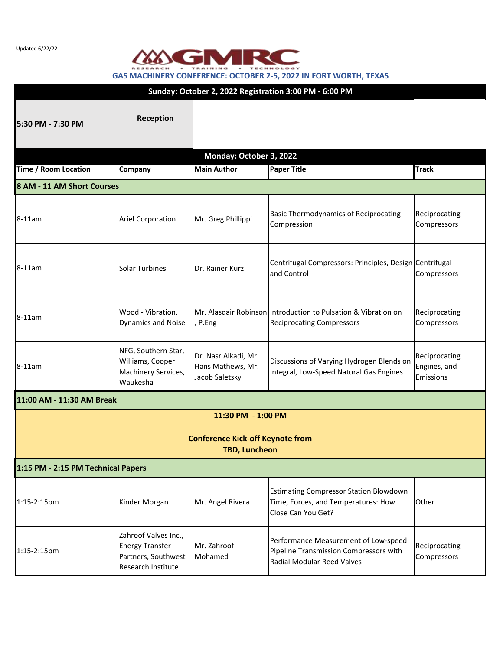Updated 6/22/22



## **Sunday: October 2, 2022 Registration 3:00 PM - 6:00 PM**

**5:30 PM - 7:30 PM**

1:15-2:15pm

**Reception**

Partners, Southwest Research Institute

Mohamed

Pipeline Transmission Compressors with

**Compressors** 

Radial Modular Reed Valves

| Monday: October 3, 2022            |                                                                            |                                                                 |                                                                                                                                                                                                                                                                                                                                                     |                                            |  |  |
|------------------------------------|----------------------------------------------------------------------------|-----------------------------------------------------------------|-----------------------------------------------------------------------------------------------------------------------------------------------------------------------------------------------------------------------------------------------------------------------------------------------------------------------------------------------------|--------------------------------------------|--|--|
| Time / Room Location               | Company                                                                    | <b>Main Author</b>                                              | <b>Paper Title</b>                                                                                                                                                                                                                                                                                                                                  | <b>Track</b>                               |  |  |
| 8 AM - 11 AM Short Courses         |                                                                            |                                                                 |                                                                                                                                                                                                                                                                                                                                                     |                                            |  |  |
| $8-11am$                           | <b>Ariel Corporation</b>                                                   | Mr. Greg Phillippi                                              | <b>Basic Thermodynamics of Reciprocating</b><br>Compression                                                                                                                                                                                                                                                                                         | Reciprocating<br>Compressors               |  |  |
| $8-11$ am                          | <b>Solar Turbines</b>                                                      | Dr. Rainer Kurz                                                 | Centrifugal Compressors: Principles, Design Centrifugal<br>and Control                                                                                                                                                                                                                                                                              | Compressors                                |  |  |
| $8-11am$                           | Wood - Vibration,<br>Dynamics and Noise                                    | , P.Eng                                                         | Mr. Alasdair Robinson Introduction to Pulsation & Vibration on<br><b>Reciprocating Compressors</b>                                                                                                                                                                                                                                                  | Reciprocating<br>Compressors               |  |  |
| 8-11am                             | NFG, Southern Star,<br>Williams, Cooper<br>Machinery Services,<br>Waukesha | Dr. Nasr Alkadi, Mr.<br>Hans Mathews, Mr.<br>Jacob Saletsky     | Discussions of Varying Hydrogen Blends on<br>Integral, Low-Speed Natural Gas Engines                                                                                                                                                                                                                                                                | Reciprocating<br>Engines, and<br>Emissions |  |  |
| 11:00 AM - 11:30 AM Break          |                                                                            |                                                                 |                                                                                                                                                                                                                                                                                                                                                     |                                            |  |  |
|                                    |                                                                            | 11:30 PM - 1:00 PM                                              |                                                                                                                                                                                                                                                                                                                                                     |                                            |  |  |
|                                    |                                                                            | <b>Conference Kick-off Keynote from</b><br><b>TBD, Luncheon</b> |                                                                                                                                                                                                                                                                                                                                                     |                                            |  |  |
| 1:15 PM - 2:15 PM Technical Papers |                                                                            |                                                                 |                                                                                                                                                                                                                                                                                                                                                     |                                            |  |  |
| 1:15-2:15pm                        | Kinder Morgan                                                              | Mr. Angel Rivera                                                | <b>Estimating Compressor Station Blowdown</b><br>Time, Forces, and Temperatures: How<br>Close Can You Get?                                                                                                                                                                                                                                          | Other                                      |  |  |
| $1 - 21 -$                         | Zahroof Valves Inc.,<br><b>Energy Transfer</b>                             | Mr. Zahroof                                                     | Performance Measurement of Low-speed<br>$\mathbf{r}$ , $\mathbf{r}$ , $\mathbf{r}$ , $\mathbf{r}$ , $\mathbf{r}$ , $\mathbf{r}$ , $\mathbf{r}$ , $\mathbf{r}$ , $\mathbf{r}$ , $\mathbf{r}$ , $\mathbf{r}$ , $\mathbf{r}$ , $\mathbf{r}$ , $\mathbf{r}$ , $\mathbf{r}$ , $\mathbf{r}$ , $\mathbf{r}$ , $\mathbf{r}$ , $\mathbf{r}$ , $\mathbf{r}$ , | Reciprocating                              |  |  |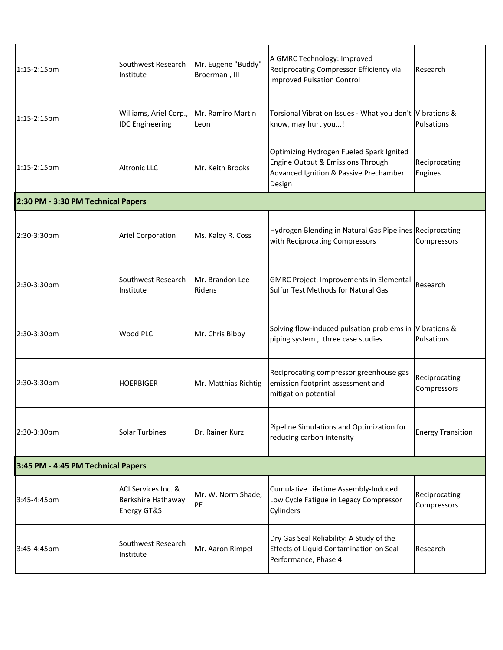| 1:15-2:15pm                        | Southwest Research<br>Institute                          | Mr. Eugene "Buddy"<br>Broerman, III | A GMRC Technology: Improved<br>Reciprocating Compressor Efficiency via<br><b>Improved Pulsation Control</b>                       | Research                     |  |  |
|------------------------------------|----------------------------------------------------------|-------------------------------------|-----------------------------------------------------------------------------------------------------------------------------------|------------------------------|--|--|
| 1:15-2:15pm                        | Williams, Ariel Corp.,<br><b>IDC Engineering</b>         | Mr. Ramiro Martin<br>Leon           | Torsional Vibration Issues - What you don't Vibrations &<br>know, may hurt you!                                                   | Pulsations                   |  |  |
| 1:15-2:15pm                        | <b>Altronic LLC</b>                                      | Mr. Keith Brooks                    | Optimizing Hydrogen Fueled Spark Ignited<br>Engine Output & Emissions Through<br>Advanced Ignition & Passive Prechamber<br>Design | Reciprocating<br>Engines     |  |  |
| 2:30 PM - 3:30 PM Technical Papers |                                                          |                                     |                                                                                                                                   |                              |  |  |
| 2:30-3:30pm                        | <b>Ariel Corporation</b>                                 | Ms. Kaley R. Coss                   | Hydrogen Blending in Natural Gas Pipelines Reciprocating<br>with Reciprocating Compressors                                        | Compressors                  |  |  |
| 2:30-3:30pm                        | Southwest Research<br>Institute                          | Mr. Brandon Lee<br>Ridens           | <b>GMRC Project: Improvements in Elemental</b><br><b>Sulfur Test Methods for Natural Gas</b>                                      | Research                     |  |  |
| 2:30-3:30pm                        | Wood PLC                                                 | Mr. Chris Bibby                     | Solving flow-induced pulsation problems in Vibrations &<br>piping system, three case studies                                      | Pulsations                   |  |  |
| 2:30-3:30pm                        | HOERBIGER                                                | Mr. Matthias Richtig                | Reciprocating compressor greenhouse gas<br>emission footprint assessment and<br>mitigation potential                              | Reciprocating<br>Compressors |  |  |
| 2:30-3:30pm                        | <b>Solar Turbines</b>                                    | Dr. Rainer Kurz                     | Pipeline Simulations and Optimization for<br>reducing carbon intensity                                                            | <b>Energy Transition</b>     |  |  |
| 3:45 PM - 4:45 PM Technical Papers |                                                          |                                     |                                                                                                                                   |                              |  |  |
| 3:45-4:45pm                        | ACI Services Inc. &<br>Berkshire Hathaway<br>Energy GT&S | Mr. W. Norm Shade,<br>PE            | Cumulative Lifetime Assembly-Induced<br>Low Cycle Fatigue in Legacy Compressor<br>Cylinders                                       | Reciprocating<br>Compressors |  |  |
| 3:45-4:45pm                        | Southwest Research<br>Institute                          | Mr. Aaron Rimpel                    | Dry Gas Seal Reliability: A Study of the<br>Effects of Liquid Contamination on Seal<br>Performance, Phase 4                       | Research                     |  |  |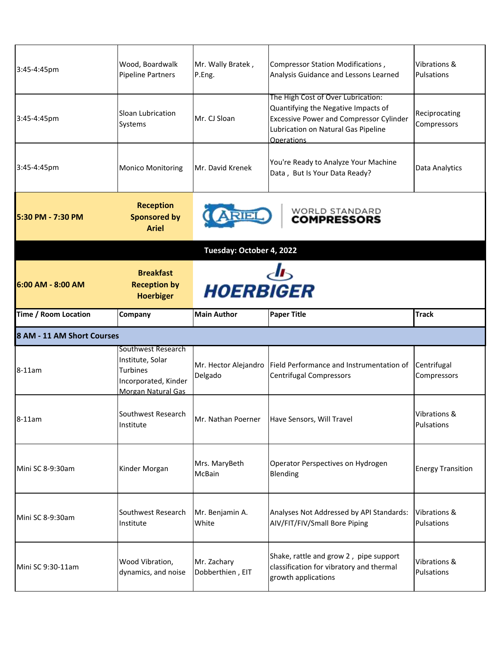| 3:45-4:45pm                | Wood, Boardwalk<br><b>Pipeline Partners</b>                                                                    | Mr. Wally Bratek,<br>P.Eng.     | <b>Compressor Station Modifications,</b><br>Analysis Guidance and Lessons Learned                                                                                                | Vibrations &<br>Pulsations   |
|----------------------------|----------------------------------------------------------------------------------------------------------------|---------------------------------|----------------------------------------------------------------------------------------------------------------------------------------------------------------------------------|------------------------------|
| 3:45-4:45pm                | Sloan Lubrication<br>Systems                                                                                   | Mr. CJ Sloan                    | The High Cost of Over Lubrication:<br>Quantifying the Negative Impacts of<br><b>Excessive Power and Compressor Cylinder</b><br>Lubrication on Natural Gas Pipeline<br>Operations | Reciprocating<br>Compressors |
| 3:45-4:45pm                | <b>Monico Monitoring</b>                                                                                       | Mr. David Krenek                | You're Ready to Analyze Your Machine<br>Data, But Is Your Data Ready?                                                                                                            | Data Analytics               |
| 5:30 PM - 7:30 PM          | <b>Reception</b><br><b>Sponsored by</b><br><b>Ariel</b>                                                        |                                 | <b>WORLD STANDARD</b><br><b>COMPRESSORS</b>                                                                                                                                      |                              |
|                            |                                                                                                                | Tuesday: October 4, 2022        |                                                                                                                                                                                  |                              |
| 6:00 AM - 8:00 AM          | <b>Breakfast</b><br><b>Reception by</b><br><b>Hoerbiger</b>                                                    | رالے<br>HOERBIGER               |                                                                                                                                                                                  |                              |
| Time / Room Location       | Company                                                                                                        | <b>Main Author</b>              | <b>Paper Title</b>                                                                                                                                                               | <b>Track</b>                 |
| 8 AM - 11 AM Short Courses |                                                                                                                |                                 |                                                                                                                                                                                  |                              |
| $8-11am$                   | Southwest Research<br>Institute, Solar<br><b>Turbines</b><br>Incorporated, Kinder<br><b>Morgan Natural Gas</b> | Mr. Hector Alejandro<br>Delgado | Field Performance and Instrumentation of<br><b>Centrifugal Compressors</b>                                                                                                       | Centrifugal<br>Compressors   |
| 8-11am                     | Southwest Research<br>Institute                                                                                | Mr. Nathan Poerner              | Have Sensors, Will Travel                                                                                                                                                        | Vibrations &<br>Pulsations   |
| Mini SC 8-9:30am           | Kinder Morgan                                                                                                  | Mrs. MaryBeth<br>McBain         | Operator Perspectives on Hydrogen<br>Blending                                                                                                                                    | <b>Energy Transition</b>     |
| Mini SC 8-9:30am           | Southwest Research<br>Institute                                                                                | Mr. Benjamin A.<br>White        | Analyses Not Addressed by API Standards:<br>AIV/FIT/FIV/Small Bore Piping                                                                                                        | Vibrations &<br>Pulsations   |
| Mini SC 9:30-11am          | Wood Vibration,<br>dynamics, and noise                                                                         | Mr. Zachary<br>Dobberthien, EIT | Shake, rattle and grow 2, pipe support<br>classification for vibratory and thermal                                                                                               | Vibrations &<br>Pulsations   |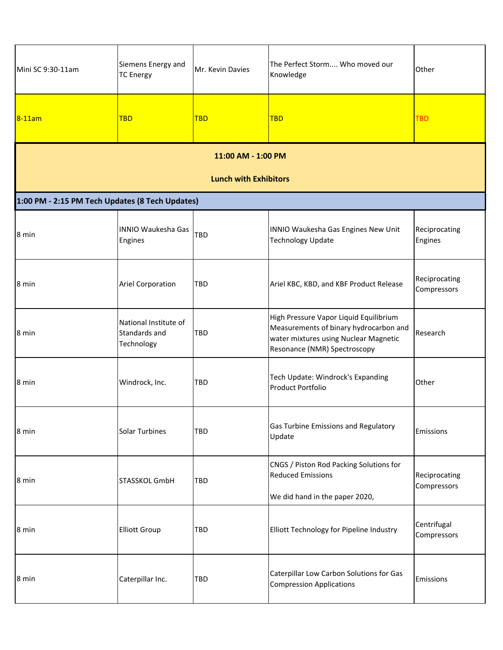| Mini SC 9:30-11am                               | Siemens Energy and<br><b>TC Energy</b>               | Mr. Kevin Davies             | The Perfect Storm Who moved our<br>Knowledge                                                                                                              | Other                        |
|-------------------------------------------------|------------------------------------------------------|------------------------------|-----------------------------------------------------------------------------------------------------------------------------------------------------------|------------------------------|
| $8-11am$                                        | <b>TBD</b>                                           | <b>TBD</b>                   | <b>TBD</b>                                                                                                                                                | <b>TBD</b>                   |
|                                                 |                                                      | 11:00 AM - 1:00 PM           |                                                                                                                                                           |                              |
|                                                 |                                                      | <b>Lunch with Exhibitors</b> |                                                                                                                                                           |                              |
| 1:00 PM - 2:15 PM Tech Updates (8 Tech Updates) |                                                      |                              |                                                                                                                                                           |                              |
| 8 min                                           | INNIO Waukesha Gas<br>Engines                        | <b>TBD</b>                   | INNIO Waukesha Gas Engines New Unit<br><b>Technology Update</b>                                                                                           | Reciprocating<br>Engines     |
| 8 min                                           | <b>Ariel Corporation</b>                             | <b>TBD</b>                   | Ariel KBC, KBD, and KBF Product Release                                                                                                                   | Reciprocating<br>Compressors |
| 8 min                                           | National Institute of<br>Standards and<br>Technology | <b>TBD</b>                   | High Pressure Vapor Liquid Equilibrium<br>Measurements of binary hydrocarbon and<br>water mixtures using Nuclear Magnetic<br>Resonance (NMR) Spectroscopy | Research                     |
| 8 min                                           | Windrock, Inc.                                       | <b>TBD</b>                   | Tech Update: Windrock's Expanding<br>Product Portfolio                                                                                                    | Other                        |
| 8 min                                           | <b>Solar Turbines</b>                                | <b>TBD</b>                   | Gas Turbine Emissions and Regulatory<br>Update                                                                                                            | Emissions                    |
| 8 min                                           | STASSKOL GmbH                                        | <b>TBD</b>                   | CNGS / Piston Rod Packing Solutions for<br><b>Reduced Emissions</b><br>We did hand in the paper 2020,                                                     | Reciprocating<br>Compressors |
| 8 min                                           | <b>Elliott Group</b>                                 | <b>TBD</b>                   | Elliott Technology for Pipeline Industry                                                                                                                  | Centrifugal<br>Compressors   |
| 8 min                                           | Caterpillar Inc.                                     | <b>TBD</b>                   | Caterpillar Low Carbon Solutions for Gas<br><b>Compression Applications</b>                                                                               | Emissions                    |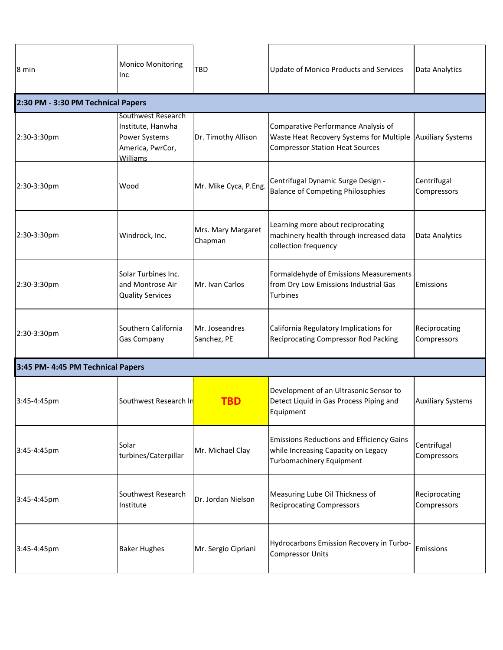| 8 min                              | <b>Monico Monitoring</b><br>Inc                                                          | <b>TBD</b>                    | <b>Update of Monico Products and Services</b>                                                                              | Data Analytics               |
|------------------------------------|------------------------------------------------------------------------------------------|-------------------------------|----------------------------------------------------------------------------------------------------------------------------|------------------------------|
| 2:30 PM - 3:30 PM Technical Papers |                                                                                          |                               |                                                                                                                            |                              |
| 2:30-3:30pm                        | Southwest Research<br>Institute, Hanwha<br>Power Systems<br>America, PwrCor,<br>Williams | Dr. Timothy Allison           | Comparative Performance Analysis of<br>Waste Heat Recovery Systems for Multiple<br><b>Compressor Station Heat Sources</b>  | <b>Auxiliary Systems</b>     |
| 2:30-3:30pm                        | Wood                                                                                     | Mr. Mike Cyca, P.Eng.         | Centrifugal Dynamic Surge Design -<br><b>Balance of Competing Philosophies</b>                                             | Centrifugal<br>Compressors   |
| 2:30-3:30pm                        | Windrock, Inc.                                                                           | Mrs. Mary Margaret<br>Chapman | Learning more about reciprocating<br>machinery health through increased data<br>collection frequency                       | Data Analytics               |
| 2:30-3:30pm                        | Solar Turbines Inc.<br>and Montrose Air<br><b>Quality Services</b>                       | Mr. Ivan Carlos               | Formaldehyde of Emissions Measurements<br>from Dry Low Emissions Industrial Gas<br><b>Turbines</b>                         | Emissions                    |
| 2:30-3:30pm                        | Southern California<br>Gas Company                                                       | Mr. Joseandres<br>Sanchez, PE | California Regulatory Implications for<br><b>Reciprocating Compressor Rod Packing</b>                                      | Reciprocating<br>Compressors |
| 3:45 PM- 4:45 PM Technical Papers  |                                                                                          |                               |                                                                                                                            |                              |
| 3:45-4:45pm                        | Southwest Research In                                                                    | <b>TBD</b>                    | Development of an Ultrasonic Sensor to<br>Detect Liquid in Gas Process Piping and<br>Equipment                             | <b>Auxiliary Systems</b>     |
| 3:45-4:45pm                        | Solar<br>turbines/Caterpillar                                                            | Mr. Michael Clay              | <b>Emissions Reductions and Efficiency Gains</b><br>while Increasing Capacity on Legacy<br><b>Turbomachinery Equipment</b> | Centrifugal<br>Compressors   |
| 3:45-4:45pm                        | Southwest Research<br>Institute                                                          | Dr. Jordan Nielson            | Measuring Lube Oil Thickness of<br><b>Reciprocating Compressors</b>                                                        | Reciprocating<br>Compressors |
| 3:45-4:45pm                        | <b>Baker Hughes</b>                                                                      | Mr. Sergio Cipriani           | Hydrocarbons Emission Recovery in Turbo-<br><b>Compressor Units</b>                                                        | Emissions                    |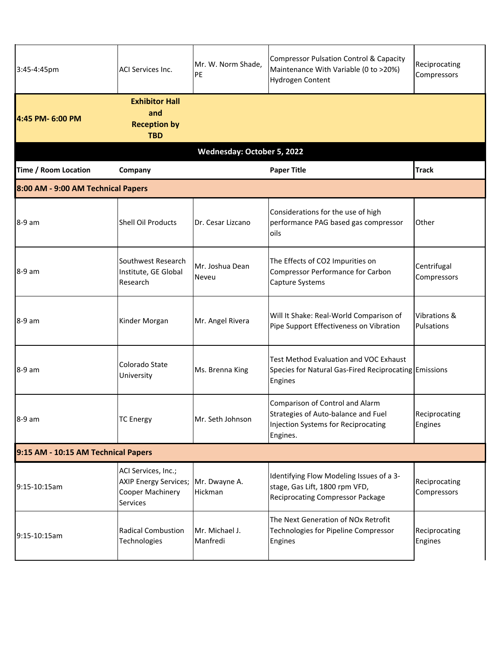| 3:45-4:45pm                         | <b>ACI Services Inc.</b>                                                            | Mr. W. Norm Shade,<br>PE          | <b>Compressor Pulsation Control &amp; Capacity</b><br>Maintenance With Variable (0 to >20%)<br>Hydrogen Content                  | Reciprocating<br>Compressors |  |  |
|-------------------------------------|-------------------------------------------------------------------------------------|-----------------------------------|----------------------------------------------------------------------------------------------------------------------------------|------------------------------|--|--|
| 4:45 PM- 6:00 PM                    | <b>Exhibitor Hall</b><br>and<br><b>Reception by</b><br><b>TBD</b>                   |                                   |                                                                                                                                  |                              |  |  |
|                                     |                                                                                     | <b>Wednesday: October 5, 2022</b> |                                                                                                                                  |                              |  |  |
| <b>Time / Room Location</b>         | Company                                                                             |                                   | <b>Paper Title</b>                                                                                                               | <b>Track</b>                 |  |  |
| 8:00 AM - 9:00 AM Technical Papers  |                                                                                     |                                   |                                                                                                                                  |                              |  |  |
| 8-9 am                              | Shell Oil Products                                                                  | Dr. Cesar Lizcano                 | Considerations for the use of high<br>performance PAG based gas compressor<br>oils                                               | Other                        |  |  |
| 8-9 am                              | Southwest Research<br>Institute, GE Global<br>Research                              | Mr. Joshua Dean<br>Neveu          | The Effects of CO2 Impurities on<br>Compressor Performance for Carbon<br>Capture Systems                                         | Centrifugal<br>Compressors   |  |  |
| 8-9 am                              | Kinder Morgan                                                                       | Mr. Angel Rivera                  | Will It Shake: Real-World Comparison of<br>Pipe Support Effectiveness on Vibration                                               | Vibrations &<br>Pulsations   |  |  |
| 8-9 am                              | Colorado State<br>University                                                        | Ms. Brenna King                   | Test Method Evaluation and VOC Exhaust<br>Species for Natural Gas-Fired Reciprocating Emissions<br>Engines                       |                              |  |  |
| 8-9 am                              | <b>TC Energy</b>                                                                    | Mr. Seth Johnson                  | Comparison of Control and Alarm<br>Strategies of Auto-balance and Fuel<br><b>Injection Systems for Reciprocating</b><br>Engines. | Reciprocating<br>Engines     |  |  |
| 9:15 AM - 10:15 AM Technical Papers |                                                                                     |                                   |                                                                                                                                  |                              |  |  |
| 9:15-10:15am                        | ACI Services, Inc.;<br><b>AXIP Energy Services;</b><br>Cooper Machinery<br>Services | Mr. Dwayne A.<br>Hickman          | Identifying Flow Modeling Issues of a 3-<br>stage, Gas Lift, 1800 rpm VFD,<br><b>Reciprocating Compressor Package</b>            | Reciprocating<br>Compressors |  |  |
| 9:15-10:15am                        | <b>Radical Combustion</b><br>Technologies                                           | Mr. Michael J.<br>Manfredi        | The Next Generation of NOx Retrofit<br>Technologies for Pipeline Compressor<br>Engines                                           | Reciprocating<br>Engines     |  |  |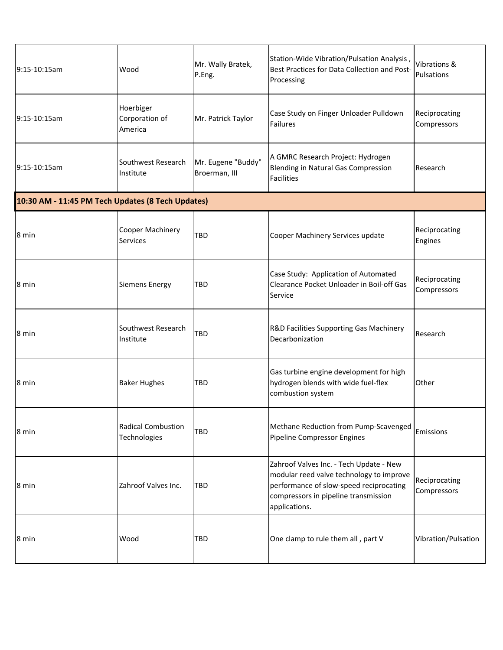| 9:15-10:15am                                      | Wood                                      | Mr. Wally Bratek,<br>P.Eng.         | Station-Wide Vibration/Pulsation Analysis,<br>Best Practices for Data Collection and Post-<br>Processing                                                                                | Vibrations &<br>Pulsations   |
|---------------------------------------------------|-------------------------------------------|-------------------------------------|-----------------------------------------------------------------------------------------------------------------------------------------------------------------------------------------|------------------------------|
| 9:15-10:15am                                      | Hoerbiger<br>Corporation of<br>America    | Mr. Patrick Taylor                  | Case Study on Finger Unloader Pulldown<br><b>Failures</b>                                                                                                                               | Reciprocating<br>Compressors |
| 9:15-10:15am                                      | Southwest Research<br>Institute           | Mr. Eugene "Buddy"<br>Broerman, III | A GMRC Research Project: Hydrogen<br>Blending in Natural Gas Compression<br><b>Facilities</b>                                                                                           | Research                     |
| 10:30 AM - 11:45 PM Tech Updates (8 Tech Updates) |                                           |                                     |                                                                                                                                                                                         |                              |
| 8 min                                             | Cooper Machinery<br><b>Services</b>       | <b>TBD</b>                          | Cooper Machinery Services update                                                                                                                                                        | Reciprocating<br>Engines     |
| 8 min                                             | <b>Siemens Energy</b>                     | <b>TBD</b>                          | Case Study: Application of Automated<br>Clearance Pocket Unloader in Boil-off Gas<br>Service                                                                                            | Reciprocating<br>Compressors |
| 8 min                                             | Southwest Research<br>Institute           | <b>TBD</b>                          | R&D Facilities Supporting Gas Machinery<br>Decarbonization                                                                                                                              | Research                     |
| 8 min                                             | <b>Baker Hughes</b>                       | <b>TBD</b>                          | Gas turbine engine development for high<br>hydrogen blends with wide fuel-flex<br>combustion system                                                                                     | Other                        |
| 8 min                                             | <b>Radical Combustion</b><br>Technologies | TBD                                 | Methane Reduction from Pump-Scavenged<br>Pipeline Compressor Engines                                                                                                                    | Emissions                    |
| 8 min                                             | Zahroof Valves Inc.                       | TBD                                 | Zahroof Valves Inc. - Tech Update - New<br>modular reed valve technology to improve<br>performance of slow-speed reciprocating<br>compressors in pipeline transmission<br>applications. | Reciprocating<br>Compressors |
| 8 min                                             | Wood                                      | TBD                                 | One clamp to rule them all, part V                                                                                                                                                      | Vibration/Pulsation          |